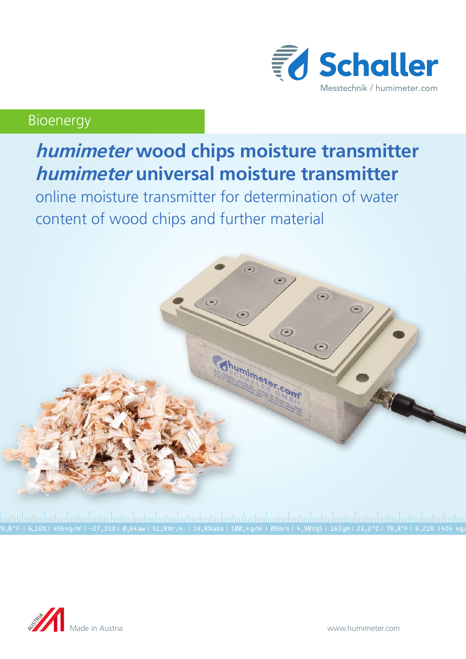

# Bioenergy

# **humimeter wood chips moisture transmitter humimeter universal moisture transmitter**

online moisture transmitter for determination of water content of wood chips and further material



78,0 °F | 6,16%| 456 kg/m3 | -27,3 td| 0,64 aw| 51,9 %r.H.| 14,8 % abs| 100,4 g/m2 | 09 m/s| 4,90 Ugl| 163 ym| 23,2 °C| 78,8°F| 6,21% |424 kg/m